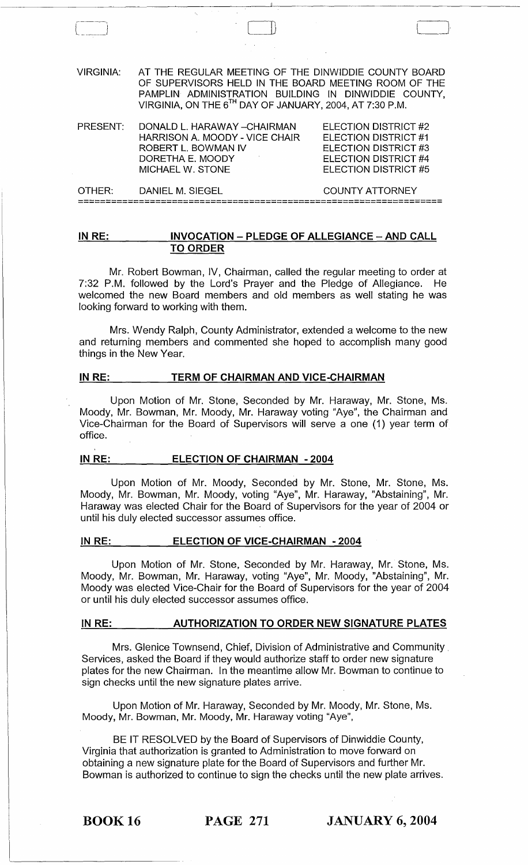| <b>VIRGINIA:</b> | AT THE REGULAR MEETING OF THE DINWIDDIE COUNTY BOARD<br>OF SUPERVISORS HELD IN THE BOARD MEETING ROOM OF THE<br>PAMPLIN ADMINISTRATION BUILDING IN DINWIDDIE COUNTY,<br>VIRGINIA, ON THE 6TH DAY OF JANUARY, 2004, AT 7:30 P.M. |                                                                                                                             |
|------------------|---------------------------------------------------------------------------------------------------------------------------------------------------------------------------------------------------------------------------------|-----------------------------------------------------------------------------------------------------------------------------|
| PRESENT:         | DONALD L. HARAWAY - CHAIRMAN<br>HARRISON A. MOODY - VICE CHAIR<br>ROBERT L. BOWMAN IV<br>DORETHA E. MOODY<br>MICHAEL W. STONE                                                                                                   | ELECTION DISTRICT #2<br>ELECTION DISTRICT #1<br>ELECTION DISTRICT #3<br><b>ELECTION DISTRICT #4</b><br>ELECTION DISTRICT #5 |
| OTHER:           | DANIEL M. SIEGEL                                                                                                                                                                                                                | <b>COUNTY ATTORNEY</b>                                                                                                      |

# **IN RE: INVOCATION - PLEDGE OF ALLEGIANCE - AND CALL TO ORDER**

**==================================================================** 

Mr. Robert Bowman, IV, Chairman, called the regular meeting to order at 7:32 P.M. followed by the Lord's Prayer and the Pledge of Allegiance. He welcomed the new Board members and old members as well stating he was looking forward to working with them.

Mrs. Wendy Ralph, County Administrator, extended a welcome to the new and returning members and commented she hoped to accomplish many good things in the New Year.

## IN RE: TERM OF CHAIRMAN AND VICE-CHAIRMAN

Upon Motion of Mr. Stone, Seconded by Mr. Haraway, Mr. Stone, Ms. Moody, Mr. Bowman, Mr. Moody, Mr. Haraway voting "Aye", the Chairman and Vice-Chairman for the Board of Supervisors will serve a one (1) year term of office.

## IN RE: **ELECTION OF CHAIRMAN - 2004**

Upon Motion of Mr. Moody, Seconded by Mr. Stone, Mr. Stone, Ms. Moody, Mr. Bowman, Mr. Moody, voting "Aye", Mr. Haraway, "Abstaining", Mr. Haraway was elected Chair for the Board of Supervisors for the year of 2004 or until his duly elected successor assumes office.

## **IN RE: ELECTION OF VICE-CHAIRMAN - 2004**

Upon Motion of Mr. Stone, Seconded by Mr. Haraway, Mr. Stone, Ms. Moody, Mr. Bowman, Mr. Haraway, voting "Aye", Mr. Moody, "Abstaining", Mr. Moody was elected Vice-Chair for the Board of Supervisors for the year of 2004 or until his duly elected successor assumes office.

### **IN RE: AUTHORIZATION TO ORDER NEW SIGNATURE PLATES**

Mrs. Glenice Townsend, Chief, Division of Administrative and Community. Services, asked the Board if they would authorize staff to order new signature plates for the new Chairman. In the meantime allow Mr. Bowman to continue to sign checks until the new signature plates arrive.

Upon Motion of Mr. Haraway, Seconded by Mr. Moody, Mr. Stone, Ms. Moody, Mr. Bowman, Mr. Moody, Mr. Haraway voting "Aye",

BE IT RESOLVED by the Board of Supervisors of Dinwiddie County, Virginia that authorization is granted to Administration to move forward on obtaining a new signature plate for the Board of Supervisors and further Mr. Bowman is authorized to continue to sign the checks until the new plate arrives.

BOOK 16 **PAGE 271 JANUARY 6, 2004**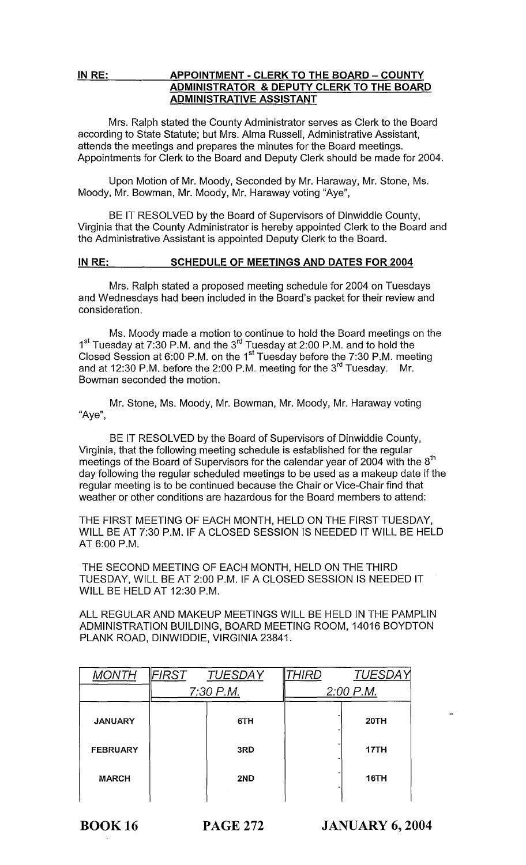# IN RE: APPOINTMENT - CLERK TO THE BOARD - COUNTY ADMINISTRATOR & DEPUTY CLERK TO THE BOARD ADMINISTRATIVE ASSISTANT

Mrs. Ralph stated the County Administrator serves as Clerk to the Board according to State Statute; but Mrs. Alma Russell, Administrative Assistant, attends the meetings and prepares the minutes for the Board meetings. Appointments for Clerk to the Board and Deputy Clerk should be made for 2004.

Upon Motion of Mr. Moody, Seconded by Mr. Haraway, Mr. Stone, Ms. Moody, Mr. Bowman, Mr. Moody, Mr. Haraway voting "Aye",

BE IT RESOLVED by the Board of Supervisors of Dinwiddie County, Virginia that the County Administrator is hereby appointed Clerk to the Board and the Administrative Assistant is appointed Deputy Clerk to the Board.

# IN RE: SCHEDULE OF MEETINGS AND DATES FOR 2004

Mrs. Ralph stated a proposed meeting schedule for 2004 on Tuesdays and Wednesdays had been included in the Board's packet for their review and consideration.

Ms. Moody made a motion to continue to hold the Board meetings on the 1<sup>st</sup> Tuesday at 7:30 P.M. and the 3<sup>rd</sup> Tuesday at 2:00 P.M. and to hold the Closed Session at 6:00 P.M. on the 1<sup>st</sup> Tuesday before the 7:30 P.M. meeting and at 12:30 P.M. before the 2:00 P.M. meeting for the 3<sup>rd</sup> Tuesday. Mr. Bowman seconded the motion.

Mr. Stone, Ms. Moody, Mr. Bowman, Mr. Moody, Mr. Haraway voting "Aye",

BE IT RESOLVED by the Board of Supervisors of Dinwiddie County, Virginia, that the following meeting schedule is established for the regular meetings of the Board of Supervisors for the calendar year of 2004 with the  $8<sup>th</sup>$ day following the regular scheduled meetings to be used as a makeup date if the regular meeting is to be continued because the Chair or Vice-Chair find that weather or other conditions are hazardous for the Board members to attend:

THE FIRST MEETING OF EACH MONTH, HELD ON THE FIRST TUESDAY, WILL BE AT 7:30 P.M. IF A CLOSED SESSION IS NEEDED IT WILL BE HELD AT 6:00 P.M.

THE SECOND MEETING OF EACH MONTH, HELD ON THE THIRD TUESDAY, WILL BE AT 2:00 P.M. IF A CLOSED SESSION IS NEEDED IT WILL BE HELD AT 12:30 P.M.

ALL REGULAR AND MAKEUP MEETINGS WILL BE HELD IN THE PAMPLIN ADMINISTRATION BUILDING, BOARD MEETING ROOM, 14016 BOYDTON PLANK ROAD, DINWIDDIE, VIRGINIA 23841.

|                 | FIRST     | <b>TUESDAY</b> | HIRL.       | <b>TUESDAY</b> |
|-----------------|-----------|----------------|-------------|----------------|
|                 | 7:30 P.M. |                | $2:00$ P.M. |                |
| <b>JANUARY</b>  |           | 6TH            |             | 20TH           |
| <b>FEBRUARY</b> |           | 3RD            |             | 17TH           |
| <b>MARCH</b>    |           | 2ND            |             | <b>16TH</b>    |
|                 |           |                |             |                |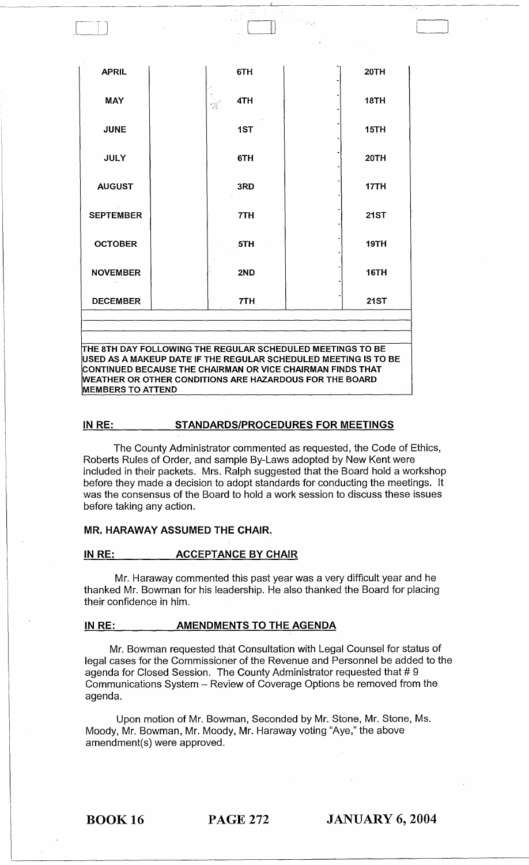| <b>APRIL</b>     | 6TH                | 20TH        |
|------------------|--------------------|-------------|
| <b>MAY</b>       | 4TH<br>ana)<br>San | <b>18TH</b> |
| <b>JUNE</b>      | 1ST                | 15TH        |
| <b>JULY</b>      | 6TH                | 20TH        |
| <b>AUGUST</b>    | 3RD                | 17TH        |
| <b>SEPTEMBER</b> | 7TH                | <b>21ST</b> |
| <b>OCTOBER</b>   | 5TH                | 19TH        |
| <b>NOVEMBER</b>  | 2ND                | 16TH        |
| <b>DECEMBER</b>  | 7TH                | <b>21ST</b> |

o

CONTINUED BECAUSE THE CHAIRMAN OR VICE CHAIRMAN FINDS THAT WEATHER OR OTHER CONDITIONS ARE HAZARDOUS FOR THE BOARD MEMBERS TO ATTEND

# IN RE: STANDARDS/PROCEDURES FOR MEETINGS

The County Administrator commented as requested, the Code of Ethics, Roberts Rules of Order, and sample By-Laws adopted by New Kent were included in their packets. Mrs. Ralph suggested that the Board hold a workshop before they made a decision to adopt standards for conducting the meetings. It was the consensus of the Board to hold a work session to discuss these issues before taking any action.

# MR. HARAWAY ASSUMED THE CHAIR.

## IN RE: ACCEPTANCE BY CHAIR

Mr. Haraway commented this past year was a very difficult year and he thanked Mr. Bowman for his leadership. He also thanked the Board for placing their confidence in him.

## IN RE: **AMENDMENTS TO THE AGENDA**

Mr. Bowman requested that Consultation with Legal Counsel for status of legal cases for the Commissioner of the Revenue and Personnel be added to the agenda for Closed Session. The County Administrator requested that # 9 Communications System - Review of Coverage Options be removed from the agenda.

Upon motion of Mr. Bowman, Seconded by Mr. Stone, Mr. Stone, Ms. Moody, Mr. Bowman, Mr. Moody, Mr. Haraway voting "Aye," the above amendment(s) were approved.

BOOK 16 PAGE 272 JANUARY 6, 2004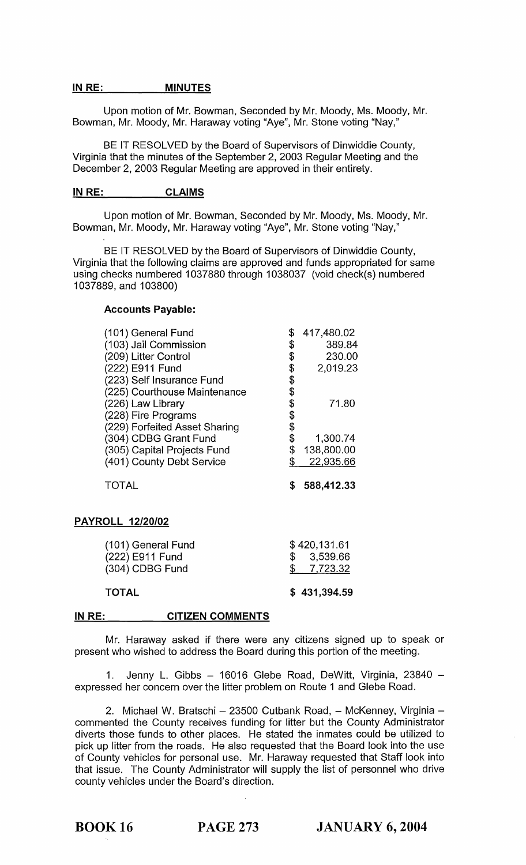## IN RE: MINUTES

Upon motion of Mr. Bowman, Seconded by Mr. Moody, Ms. Moody, Mr. Bowman, Mr. Moody, Mr. Haraway voting "Aye", Mr. Stone voting "Nay,"

BE IT RESOLVED by the Board of Supervisors of Dinwiddie County, Virginia that the minutes of the September 2, 2003 Regular Meeting and the December 2, 2003 Regular Meeting are approved in their entirety.

## IN RE: CLAIMS

Upon motion of Mr. Bowman, Seconded by Mr. Moody, Ms. Moody, Mr. Bowman, Mr. Moody, Mr. Haraway voting "Aye", Mr. Stone voting "Nay,"

BE IT RESOLVED by the Board of Supervisors of Dinwiddie County, Virginia that the following claims are approved and funds appropriated for same using checks numbered 1037880 through 1038037 (void check(s) numbered 1037889, and 103800)

## Accounts Payable:

| (101) General Fund            | \$       | 417,480.02 |
|-------------------------------|----------|------------|
| (103) Jail Commission         | \$       | 389.84     |
| (209) Litter Control          | \$       | 230.00     |
| (222) E911 Fund               | \$       | 2,019.23   |
| (223) Self Insurance Fund     | \$       |            |
| (225) Courthouse Maintenance  | \$       |            |
| (226) Law Library             | \$       | 71.80      |
| (228) Fire Programs           |          |            |
| (229) Forfeited Asset Sharing | \$<br>\$ |            |
| (304) CDBG Grant Fund         | \$       | 1,300.74   |
| (305) Capital Projects Fund   | \$       | 138,800.00 |
| (401) County Debt Service     |          | 22,935.66  |
| TOTAL                         | S        | 588,412.33 |
| <b>PAYROLL 12/20/02</b>       |          |            |

| <b>TOTAL</b>                       | \$431,394.59             |
|------------------------------------|--------------------------|
| (222) E911 Fund<br>(304) CDBG Fund | \$3,539.66<br>\$7,723.32 |
| (101) General Fund                 | \$420,131.61             |

#### IN RE: CITIZEN COMMENTS

Mr. Haraway asked if there were any citizens signed up to speak or present who wished to address the Board during this portion of the meeting.

1. Jenny L. Gibbs - 16016 Glebe Road, DeWitt, Virginia, 23840 expressed her concern over the litter problem on Route 1 and Glebe Road.

2. Michael W. Bratschi - 23500 Cutbank Road, - McKenney, Virginia commented the County receives funding for litter but the County Administrator diverts those funds to other places. He stated the inmates could be utilized to pick up litter from the roads. He also requested that the Board look into the use of County vehicles for personal use. Mr. Haraway requested that Staff look into that issue. The County Administrator will supply the list of personnel who drive county vehicles under the Board's direction.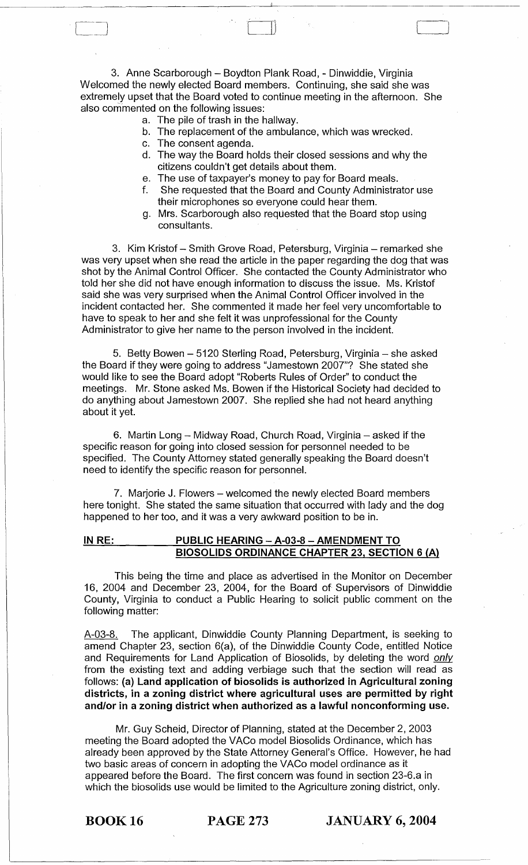3. Anne Scarborough - Boydton Plank Road, - Dinwiddie, Virginia Welcomed the newly elected Board members. Continuing, she said she was extremely upset that the Board voted to continue meeting in the afternoon. She also com'mented on the following issues:

- a. The pile of trash in the hallway.
- b. The replacement of the ambulance, which was wrecked.
- c. The consent agenda.
- d. The way the Board holds their closed sessions and why the citizens couldn't get details about them.

~.J

- e. The use of taxpayer's money to pay for Board meals.
- f. She requested that the Board and County Administrator use their microphones so everyone could hear them.
- g. Mrs. Scarborough also requested that the Board stop using consultants.

3. Kim Kristof - Smith Grove Road, Petersburg, Virginia - remarked she was very upset when she read the article in the paper regarding the dog that was shot by the Animal Control Officer. She contacted the County Administrator who told her she did not have enough information to discuss the issue. Ms. Kristof said she was very surprised when the Animal Control Officer involved in the incident contacted her. She commented it made her feel very uncomfortable to have to speak to her and she felt it was unprofessional for the County Administrator to give her name to the person involved in the incident.

5. Betty Bowen - 5120 Sterling Road, Petersburg, Virginia - she asked the Board if they were going to address "Jamestown 2007"? She stated she would like to see the. Board adopt "Roberts Rules of Order" to conduct the meetings. Mr. Stone asked Ms. Bowen if the Historical Society had decided to do anything about Jamestown 2007. She replied she had not heard anything about it yet.

6. Martin Long  $-$  Midway Road, Church Road, Virginia  $-$  asked if the specific reason for going into closed session for personnel needed to be specified. The County Attorney stated generally speaking the Board doesn't need to identify the specific reason for personnel.

7. Marjorie J. Flowers – welcomed the newly elected Board members here tonight. She stated the same situation that occurred with lady and the dog happened to her too, and it was a very awkward position to be in.

# IN RE: PUBLIC HEARING - A-03-8 - AMENDMENT TO BIOSOLIDS ORDINANCE CHAPTER 23, SECTION 6 (A)

This being the time and place as advertised in the Monitor on December 16, 2004 and December 23, 2004, for the Board of Supervisors of Dinwiddie County, Virginia to conduct a Public Hearing to solicit public comment on the following matter:

A-03-8. The applicant, Dinwiddie County Planning Department, is seeking to amend Chapter 23, section 6(a), of the Dinwiddie County Code, entitled Notice and Requirements for Land Application of Biosolids, by deleting the word only from the existing text and adding verbiage such that the section will read as follows: (a) Land application of biosolids is authorized in Agricultural zoning districts, in a zoning district where agricultural uses are permitted by right and/or in a zoning district when authorized as a lawful nonconforming use.

Mr. Guy Scheid, Director of Planning, stated at the December 2,2003 meeting the Board adopted the VACo model Biosolids Ordinance, which has already been approved by the State Attorney General's Office. However, he had two basic areas of concern in adopting the VACo model ordinance as it appeared before the Board. The first concern was found in section 23-6.a in which the biosolids use would be limited to the Agriculture zoning district, only.

BOOK 16 PAGE 273 JANUARY 6, 2004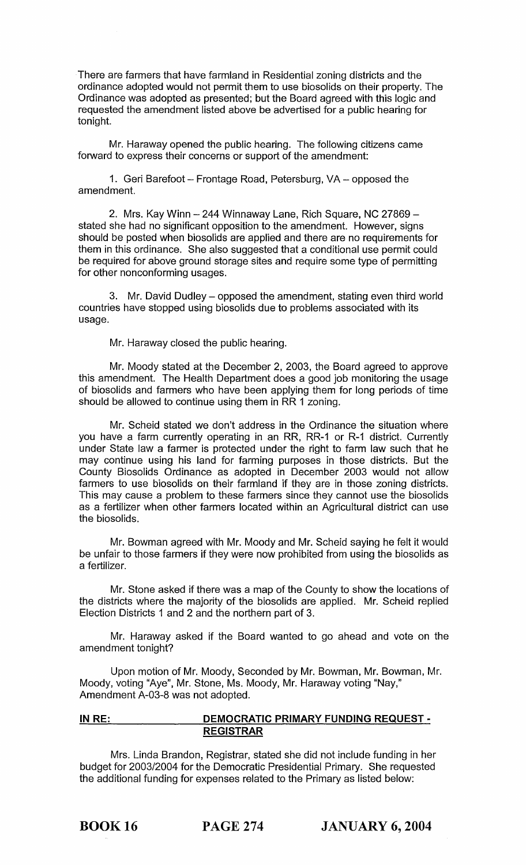There are farmers that have farmland in Residential zoning districts and the ordinance adopted would not permit them to use biosolids on their property. The Ordinance was adopted as presented; but the Board agreed with this logic and requested the amendment listed above be advertised for a public hearing for tonight.

Mr. Haraway opened the public hearing. The following citizens came forward to express their concerns or support of the amendment:

1. Geri Barefoot - Frontage Road, Petersburg, VA - opposed the amendment.

2. Mrs. Kay Winn - 244 Winnaway Lane, Rich Square, NC 27869 stated she had no significant opposition to the amendment. However, signs should be posted when biosolids are applied and there are no requirements for them in this ordinance. She also suggested that a conditional use permit could be required for above ground storage sites and require some type of permitting for other nonconforming usages.

3. Mr. David Dudley – opposed the amendment, stating even third world countries have stopped using biosolids due to problems associated with its usage.

Mr. Haraway closed the public hearing.

Mr. Moody stated at the December 2, 2003, the Board agreed to approve this amendment. The Health Department does a good job monitoring the usage of biosolids and farmers who have been applying them for long periods of time should be allowed to continue using them in RR 1 zoning.

Mr. Scheid stated we don't address in the Ordinance the situation where you have a farm currently operating in an RR, RR-1 or R-1 district. Currently under State law a farmer is protected under the right to farm law such that he may continue using his land for farming purposes in those districts. But the County Biosolids Ordinance as adopted in December 2003 would not allow farmers to use biosolids on their farmland if they are in those zoning districts. This may cause a problem to these farmers since they cannot use the biosolids as a fertilizer when other farmers located within an Agricultural district can use the biosolids.

Mr. Bowman agreed with Mr. Moody and Mr. Scheid saying he felt it would be unfair to those farmers if they were now prohibited from using the biosolids as a fertilizer.

Mr. Stone asked if there was a map of the County to show the locations of the districts where the majority of the biosolids are applied. Mr. Scheid replied Election Districts 1 and 2 and the northern part of 3.

Mr. Haraway asked if the Board wanted to go ahead and vote on the amendment tonight?

Upon motion of Mr. Moody, Seconded by Mr. Bowman, Mr. Bowman, Mr. Moody, voting "Aye", Mr. Stone, Ms. Moody, Mr. Haraway voting "Nay," Amendment A-03-8 was not adopted.

# **INRE: DEMOCRATIC PRIMARY FUNDING REQUEST· REGISTRAR**

Mrs. Linda Brandon, Registrar, stated she did not include funding in her budget for 2003/2004 for the Democratic Presidential Primary. She requested the additional funding for expenses related to the Primary as listed below: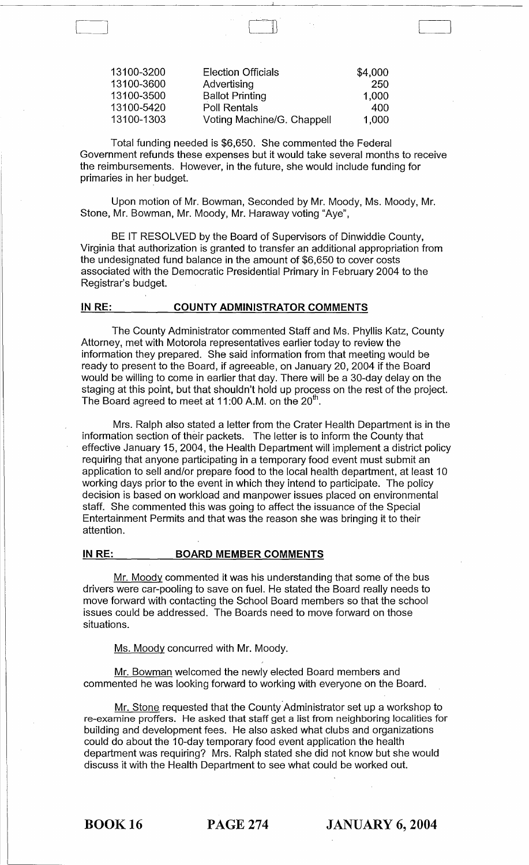| 13100-3200 | <b>Election Officials</b>  | \$4,000 |
|------------|----------------------------|---------|
| 13100-3600 | Advertising                | -250    |
| 13100-3500 | <b>Ballot Printing</b>     | 1,000   |
| 13100-5420 | <b>Poll Rentals</b>        | 400     |
| 13100-1303 | Voting Machine/G. Chappell | 1,000   |

L~

Total funding needed is \$6,650. She commented the Federal Government refunds these expenses but it would take several months to receive the reimbursements. However, in the future, she would include funding for primaries in her budget.

Upon motion of Mr. Bowman, Seconded by Mr. Moody, Ms. Moody, Mr. Stone, Mr. Bowman, Mr. Moody, Mr. Haraway voting "Aye",

BE IT RESOLVED by the Board of Supervisors of Dinwiddie County, Virginia that authorization is granted to transfer an additional appropriation from the undesignated fund balance in the amount of \$6,650 to cover costs associated with the Democratic Presidential Primary in February 2004 to the Registrar's budget.

# IN RE: COUNTY ADMINISTRATOR COMMENTS

The County Administrator commented Staff and Ms. Phyllis Katz, County Attorney, met with Motorola representatives earlier today to review the information they prepared. She said information from that meeting would be ready to present to the Board, if agreeable, on January 20, 2004 if the Board would be willing to come in earlier that day. There will be a 30-day delay on the staging at this point, but that shouldn't hold up process on the rest of the project. The Board agreed to meet at 11:00 A.M. on the  $20<sup>th</sup>$ .

Mrs. Ralph also stated a letter from the Crater Health Department is in the information section of their packets. The letter is to inform the County that effective January 15, 2004, the Health Department will implement a district policy requiring that anyone participating in a temporary food event must submit an application to sell and/or prepare food to the local health department, at least 10 working days prior to the event in which they intend to participate. The policy decision is based on workload and manpower issues placed on environmental staff. She commented this was going to affect the issuance of the Special Entertainment Permits and that was the reason she was bringing it to their attention.

## IN RE: BOARD MEMBER COMMENTS

Mr. Moody commented it was his understanding that some of the bus drivers were car-pooling to save on fuel. He stated the Board really needs to move forward with contacting the School Board members so that the school issues could be addressed. The Boards need to move forward on those situations.

Ms. Moody concurred with Mr. Moody.

Mr. Bowman welcomed the newly elected Board members and commented he was looking forward to working with everyone on the Board.

Mr. Stone requested that the County Administrator set up a workshop to re-examine proffers. He asked that staff get a list from neighboring localities for building and development fees. He also asked what clubs and organizations could do about the 10-day temporary food event application the health department was requiring? Mrs. Ralph stated she did not know but she would discuss it with the Health Department to see what could be worked out.

BOOK 16 PAGE 274 JANUARY 6, 2004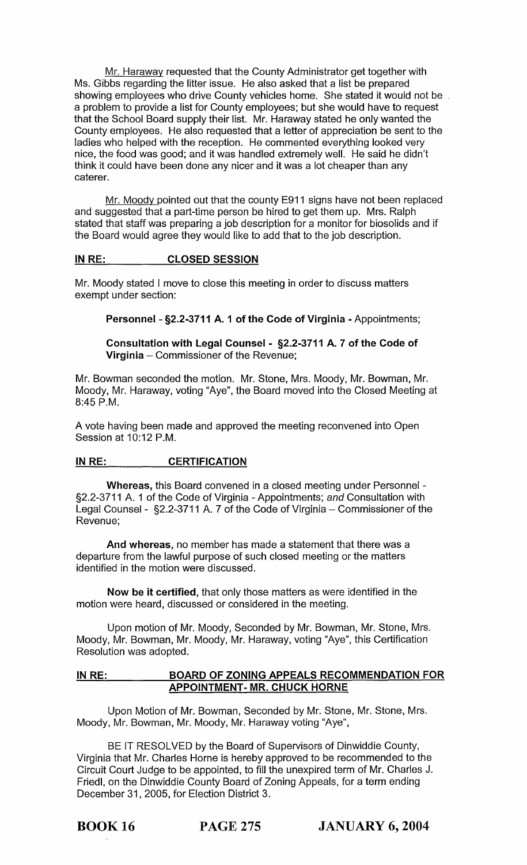Mr. Haraway requested that the County Administrator get together with Ms. Gibbs regarding the litter issue. He also asked that a list be prepared showing employees who drive County vehicles home. She stated it would not be a problem to provide a list for County employees; but she would have to request that the School Board supply their list. Mr. Haraway stated he only wanted the County employees. He also requested that a letter of appreciation be sent to the ladies who helped with the reception. He commented everything looked very nice, the food was good; and it was handled extremely well. He said he didn't think it could have been done any nicer and it was a lot cheaper than any caterer.

Mr. Moody pointed out that the county E911 signs have not been replaced and suggested that a part-time person be hired to get them up. Mrs. Ralph stated that staff was preparing a job description for a monitor for biosolids and if the Board would agree they would like to add that to the job description.

# IN RE: CLOSED SESSION

Mr. Moody stated I move to close this meeting in order to discuss matters exempt under section:

Personnel - §2.2-3711 A. 1 of the Code of Virginia - Appointments;

Consultation with Legal Counsel - §2.2-3711 A. 7 of the Code of **Virginia**  $-$  Commissioner of the Revenue;

Mr. Bowman seconded the motion. Mr. Stone, Mrs. Moody, Mr. Bowman, Mr. Moody, Mr. Haraway, voting "Aye", the Board moved into the Closed Meeting at 8:45 P.M.

A vote having been made and approved the meeting reconvened into Open Session at 10:12 P.M.

# IN RE: **CERTIFICATION**

Whereas, this Board convened in a closed meeting under Personnel - §2.2-3711 A. 1 of the Code of Virginia - Appointments; and Consultation with Legal Counsel - §2.2-3711 A. 7 of the Code of Virginia - Commissioner of the Revenue;

And whereas, no member has made a statement that there was a departure from the lawful purpose of such closed meeting or the matters identified in the motion were discussed.

Now be it certified, that only those matters as were identified in the motion were heard, discussed or considered in the meeting.

Upon motion of Mr. Moody, Seconded by Mr. Bowman, Mr. Stone, Mrs. Moody, Mr. Bowman, Mr. Moody, Mr. Haraway, voting "Aye", this Certification Resolution was adopted.

# IN RE: BOARD OF ZONING APPEALS RECOMMENDATION FOR APPOINTMENT- MR. CHUCK HORNE

Upon Motion of Mr. Bowman, Seconded by Mr. Stone, Mr. Stone, Mrs. Moody, Mr. Bowman, Mr. Moody, Mr. Haraway voting "Aye",

BE IT RESOLVED by the Board of Supervisors of Dinwiddie County, Virginia that Mr. Charles Horne is hereby approved to be recommended to the Circuit Court Judge to be appointed, to fill the unexpired term of Mr. Charles J. Friedl, on the Dinwiddie County Board of Zoning Appeals, for a term ending December 31, 2005, for Election District 3.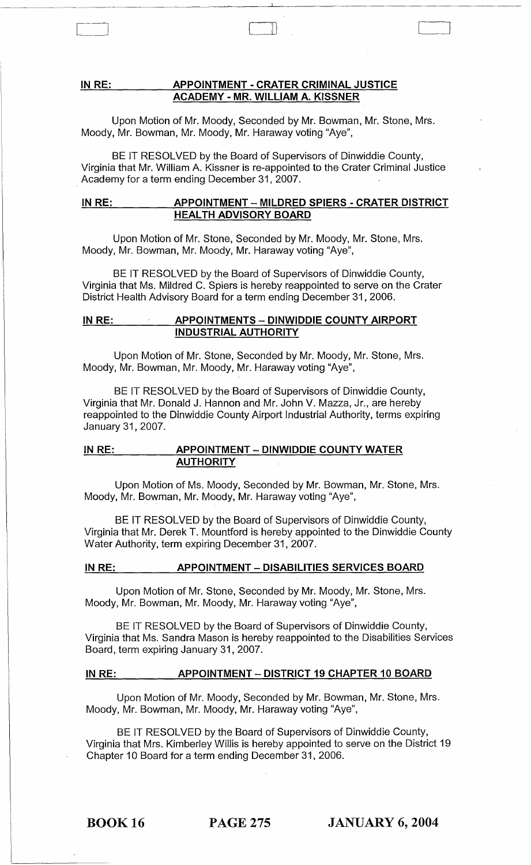# IN RE: APPOINTMENT - CRATER CRIMINAL JUSTICE ACADEMY - MR. WILLIAM A. KISSNER

 $\begin{pmatrix} 1 & 1 & 1 \\ 0 & 1 & 1 \\ 0 & 0 & 1 \end{pmatrix}$ 

Upon Motion of Mr. Moody, Seconded by Mr. Bowman, Mr. Stone, Mrs. Moody, Mr. Bowman, Mr. Moody, Mr. Haraway voting "Aye",

BE IT RESOLVED by the Board of Supervisors of Dinwiddie County, Virginia that Mr. William A. Kissner is re-appointed to the Crater Criminal Justice Academy for a term ending December 31, 2007.

# IN RE: \_\_ \_\_ \_ APPOINTMENT - MILDRED SPIERS - CRATER DISTRICT HEALTH ADVISORY BOARD

Upon Motion of Mr. Stone, Seconded by Mr. Moody, Mr. Stone, Mrs. Moody, Mr. Bowman, Mr. Moody, Mr. Haraway voting "Aye",

BE IT RESOLVED by the Board of Supervisors of Dinwiddie County, Virginia that Ms. Mildred C. Spiers is hereby reappointed to serve on the Crater District Health Advisory Board for a term ending December 31,2006.

# IN RE: APPOINTMENTS - DINWIDDIE COUNTY AIRPORT INDUSTRIAL AUTHORITY

Upon Motion of Mr. Stone, Seconded by Mr. Moody, Mr. Stone, Mrs. Moody, Mr. Bowman, Mr. Moody, Mr. Haraway voting "Aye",

BE IT RESOLVED by the Board of Supervisors of Dinwiddie County, Virginia that Mr. Donald J. Hannon and Mr. John V. Mazza, Jr., are hereby reappointed to the Dinwiddie County Airport Industrial Authority, terms expiring January 31,2007.

# IN RE: APPOINTMENT - DINWIDDIE COUNTY WATER AUTHORITY

Upon Motion of Ms. Moody, Seconded by Mr. Bowman, Mr. Stone, Mrs. Moody, Mr. Bowman, Mr. Moody, Mr. Haraway voting "Aye",

BE IT RESOLVED by the Board of Supervisors of Dinwiddie County, Virginia that Mr. Derek T. Mountford is hereby appointed to the Dinwiddie County Water Authority, term expiring December 31, 2007.

## IN RE: APPOINTMENT - DISABILITIES SERVICES BOARD

Upon Motion of Mr. Stone, Seconded by Mr. Moody, Mr. Stone, Mrs. Moody, Mr. Bowman, Mr. Moody, Mr. Haraway voting "Aye",

BE IT RESOLVED by the Board of Supervisors of Dinwiddie County, Virginia that Ms. Sandra Mason is hereby reappointed to the Disabilities Services Board, term expiring January 31, 2007.

## IN RE: APPOINTMENT - DISTRICT 19 CHAPTER 10 BOARD

Upon Motion of Mr. Moody, Seconded by Mr. Bowman, Mr. Stone, Mrs. Moody, Mr. Bowman, Mr. Moody, Mr.Haraway voting "Aye",

BE IT RESOLVED by the Board of Supervisors of Dinwiddie County, Virginia that Mrs. Kimberley Willis is hereby appointed to serve on the District 19 Chapter 10 Board for a term ending December 31, 2006.

BOOK 16 PAGE 275 JANUARY 6, 2004